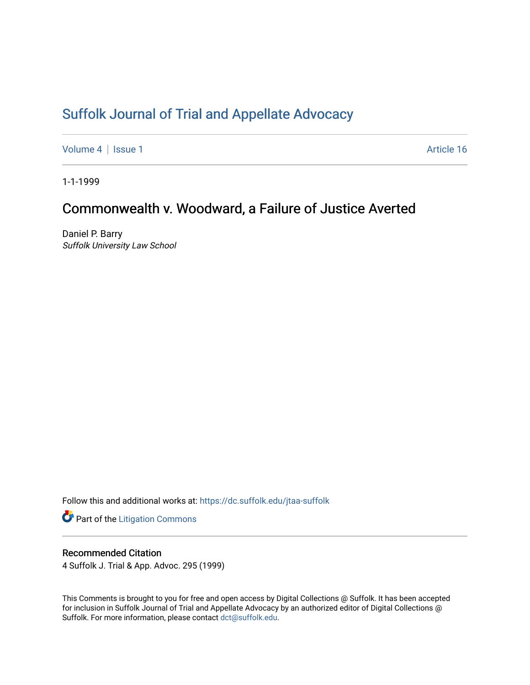# [Suffolk Journal of Trial and Appellate Advocacy](https://dc.suffolk.edu/jtaa-suffolk)

[Volume 4](https://dc.suffolk.edu/jtaa-suffolk/vol4) | [Issue 1](https://dc.suffolk.edu/jtaa-suffolk/vol4/iss1) Article 16

1-1-1999

# Commonwealth v. Woodward, a Failure of Justice Averted

Daniel P. Barry Suffolk University Law School

Follow this and additional works at: [https://dc.suffolk.edu/jtaa-suffolk](https://dc.suffolk.edu/jtaa-suffolk?utm_source=dc.suffolk.edu%2Fjtaa-suffolk%2Fvol4%2Fiss1%2F16&utm_medium=PDF&utm_campaign=PDFCoverPages) 

**Part of the [Litigation Commons](https://network.bepress.com/hgg/discipline/910?utm_source=dc.suffolk.edu%2Fjtaa-suffolk%2Fvol4%2Fiss1%2F16&utm_medium=PDF&utm_campaign=PDFCoverPages)** 

## Recommended Citation

4 Suffolk J. Trial & App. Advoc. 295 (1999)

This Comments is brought to you for free and open access by Digital Collections @ Suffolk. It has been accepted for inclusion in Suffolk Journal of Trial and Appellate Advocacy by an authorized editor of Digital Collections @ Suffolk. For more information, please contact [dct@suffolk.edu.](mailto:dct@suffolk.edu)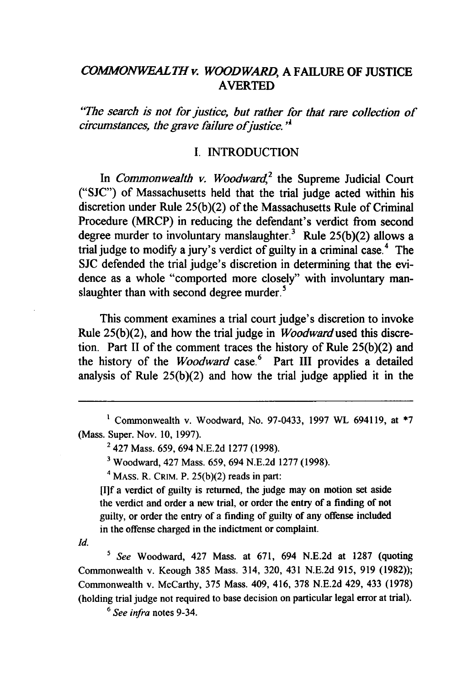## *COMMONWEALTH v. WOODWARD,* A **FAILURE** OF **JUSTICE** AVERTED

*"The search is not for justice, but rather for that rare collection of circumstances, the grave failure of justice.*<sup> $'$ </sup>

#### **I. INTRODUCTION**

In *Commonwealth v. Woodward,2* the Supreme Judicial Court **("SJC")** of Massachusetts held that the trial judge acted within his discretion under Rule **25(b)(2)** of the Massachusetts Rule of Criminal Procedure (MRCP) in reducing the defendant's verdict from second degree murder to involuntary manslaughter.<sup>3</sup> Rule  $25(b)(2)$  allows a trial judge to modify a jury's verdict of guilty in a criminal case.<sup>4</sup> The **SJC** defended the trial judge's discretion in determining that the evidence as a whole "comported more closely" with involuntary manslaughter than with second degree murder.<sup>5</sup>

This comment examines a trial court judge's discretion to invoke Rule **25(b)(2),** and how the trial judge in *Woodward used* this discretion. Part II of the comment traces the history of Rule **25(b)(2)** and the history of the *Woodward* case.<sup>6</sup> Part III provides a detailed analysis of Rule **25(b)(2)** and how the trial judge applied it in the

Commonwealth v. Woodward, No. **97-0433, 1997** WL 694119, at **\*7** (Mass. Super. Nov. **10, 1997).**

<sup>2</sup> 427 Mass. 659, 694 N.E.2d 1277 (1998).

**<sup>3</sup>**Woodward, 427 Mass. 659, 694 N.E.2d 1277 (1998).

 $4$  MASS. R. CRIM. P. 25(b)(2) reads in part:

[I]f a verdict of guilty is returned, the judge may on motion set aside the verdict and order a new trial, or order the entry of a finding of not guilty, or order the entry of a finding of guilty of any offense included in the offense charged in the indictment or complaint.

*Id.*

**5** *See* Woodward, 427 Mass. at 671, 694 N.E.2d at 1287 (quoting Commonwealth v. Keough 385 Mass. 314, 320, 431 N.E.2d 915, 919 (1982)); Commonwealth v. McCarthy, 375 Mass. 409, 416, 378 N.E.2d 429, 433 (1978) (holding trial judge not required to base decision on particular legal error at trial).

**6** *See infra* notes 9-34.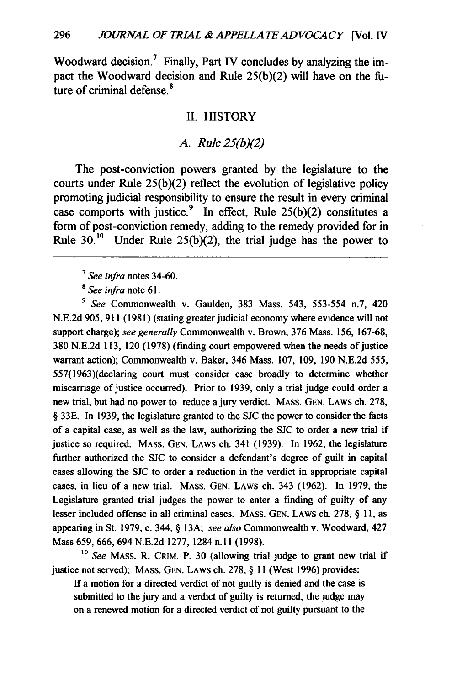Woodward decision.<sup>7</sup> Finally, Part IV concludes by analyzing the impact the Woodward decision and Rule 25(b)(2) will have on the future of criminal defense.<sup>8</sup>

#### II. HISTORY

#### *A. Rule 25(b)(2)*

The post-conviction powers granted **by** the legislature to the courts under Rule **25(b)(2)** reflect the evolution of legislative policy promoting judicial responsibility to ensure the result in every criminal case comports with justice.<sup>9</sup> In effect, Rule  $25(b)(2)$  constitutes a form of post-conviction remedy, adding to the remedy provided for in Rule **30.10** Under Rule **25(b)(2),** the trial judge has the power to

*'See infra* notes 34-60.

**8** *See infra* note **61.**

*9 See* Commonwealth v. Gaulden, **383** Mass. 543, 553-554 n.7, 420 **N.E.2d 905, 911 (1981)** (stating greater judicial economy where evidence will not support charge); *see generally* Commonwealth v. Brown, **376** Mass. **156, 167-68, 380 N.E.2d 113,** 120 **(1978)** (finding court empowered when the needs of justice warrant action); Commonwealth v. Baker, 346 Mass. **107, 109, 190 N.E.2d** 555, 557(1963)(declaring court must consider case broadly to determine whether miscarriage of justice occurred). Prior to **1939,** only a trial judge could order a new trial, but had no power to reduce a jury verdict. **MASS. GEN.** LAWS ch. **278,** § **33E.** In **1939,** the legislature granted to the **SJC** the power to consider the facts of a capital case, as well as the law, authorizing the **SJC** to order a new trial if justice so required. **MASS. GEN.** LAWS ch. 341 **(1939).** In **1962,** the legislature further authorized the **SJC** to consider a defendant's degree of guilt in capital cases allowing the **SJC** to order a reduction in the verdict in appropriate capital cases, in lieu of a new trial. **MASS. GEN.** LAWS ch. 343 **(1962).** In **1979,** the Legislature granted trial judges the power to enter a finding of guilty of any lesser included offense in all criminal cases. **MASS. GEN.** LAWS ch. **278,** § **11,** as appearing in St. **1979,** c. 344, § **13A;** *see also* Commonwealth v. Woodward, 427 Mass **659, 666,** 694 **N.E.2d 1277,** 1284 **n.1 1(1998).**

**<sup>10</sup>***See* MASS. R. CRIM. P. **30** (allowing trial judge to grant new trial if justice not served); **MASS. GEN.** LAWS ch. **278,** § **11** (West **1996)** provides:

**If** a motion for a directed verdict of not guilty is denied and the case is submitted to the jury and a verdict of guilty is returned, the judge may on a renewed motion for a directed verdict of not guilty pursuant to the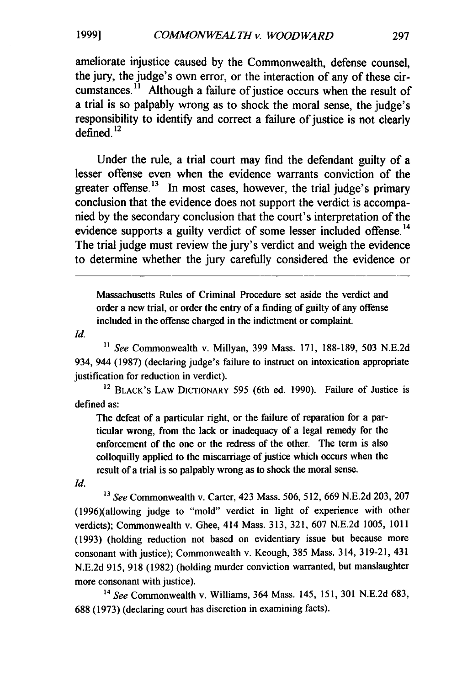**1999l**

ameliorate injustice caused by the Commonwealth, defense counsel, the jury, the judge's own error, or the interaction of any of these circumstances.<sup> $i$ </sup> Although a failure of justice occurs when the result of a trial is so palpably wrong as to shock the moral sense, the judge's responsibility to identify and correct a failure of justice is not clearly defined. $^{12}$ 

Under the rule, a trial court may find the defendant guilty of a lesser offense even when the evidence warrants conviction of the greater offense.<sup>13</sup> In most cases, however, the trial judge's primary conclusion that the evidence does not support the verdict is accompanied by the secondary conclusion that the court's interpretation of the evidence supports a guilty verdict of some lesser included offense.<sup>14</sup> The trial judge must review the jury's verdict and weigh the evidence to determine whether the jury carefully considered the evidence or

Massachusetts Rules of Criminal Procedure set aside the verdict and order a new trial, or order the entry of a finding of guilty of any offense included in the offense charged in the indictment or complaint.

*Id.*

**"** *See* Commonwealth v. Millyan, 399 Mass. 171, 188-189, 503 N.E.2d 934, 944 (1987) (declaring judge's failure to instruct on intoxication appropriate justification for reduction in verdict).

<sup>12</sup> BLACK'S LAW DICTIONARY 595 (6th ed. 1990). Failure of Justice is defined as:

The defeat of a particular right, or the failure of reparation for a particular wrong, from the lack or inadequacy of a legal remedy for the enforcement of the one or the redress of the other. The term is also colloquilly applied to the miscarriage of justice which occurs when the result of a trial is so palpably wrong as to shock the moral sense.

*Id.*

*<sup>13</sup>See* Commonwealth v. Carter, 423 Mass. 506, 512, 669 N.E.2d 203, 207 (1996)(allowing judge to "mold" verdict in light of experience with other verdicts); Commonwealth v. Ghee, 414 Mass. 313, 321, 607 N.E.2d 1005, 1011 (1993) (holding reduction not based on evidentiary issue but because more consonant with justice); Commonwealth v. Keough, 385 Mass. 314, 319-21, 431 N.E.2d 915, 918 (1982) (holding murder conviction warranted, but manslaughter more consonant with justice).

*<sup>14</sup>See* Commonwealth v. Williams, 364 Mass. 145, 151, 301 N.E.2d 683, 688 (1973) (declaring court has discretion in examining facts).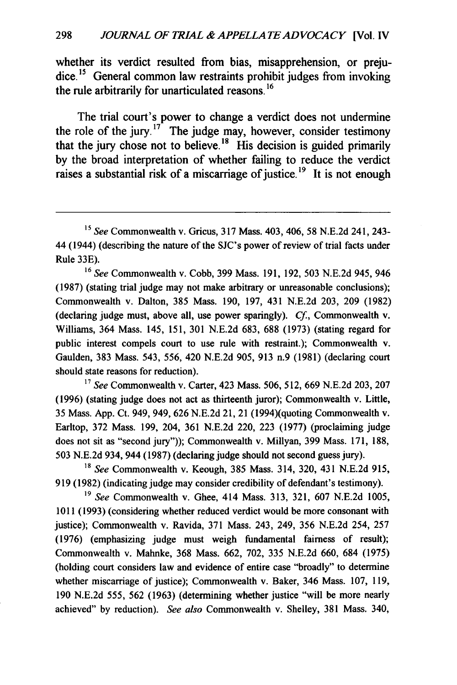whether its verdict resulted from bias, misapprehension, or prejudice.<sup>15</sup> General common law restraints prohibit judges from invoking the rule arbitrarily for unarticulated reasons. **<sup>16</sup>**

The trial court's power to change a verdict does not undermine the role of the jury. **<sup>1</sup> <sup>7</sup>**The judge may, however, consider testimony that the jury chose not to believe.'8 **His** decision is guided primarily **by** the broad interpretation of whether failing to reduce the verdict raises a substantial risk of a miscarriage of justice. **1 <sup>9</sup>**It is not enough

**<sup>16</sup>***See* Commonwealth v. Cobb, **399** Mass. **191, 192, 503 N.E.2d** 945, 946 **(1987)** (stating trial judge may not make arbitrary or unreasonable conclusions); Commonwealth v. Dalton, **385** Mass. **190, 197,** 431 **N.E.2d 203, 209 (1982)** (declaring judge must, above all, use power sparingly). *Cf,* Commonwealth v. Williams, 364 Mass. 145, **151, 301 N.E.2d 683, 688 (1973)** (stating regard for public interest compels court to use rule with restraint.); Commonwealth v. Gaulden, **383** Mass. 543, **556,** 420 **N.E.2d 905, 913** n.9 **(1981)** (declaring court should state reasons for reduction).

**<sup>17</sup>***See* Commonwealth v. Carter, 423 Mass. **506, 512,** 669 **N.E.2d 203, 207 (1996)** (stating judge does not act as thirteenth juror); Commonwealth v. Little, **35** Mass. **App.** Ct. 949, 949, **626 N.E.2d** 21, 21 (1994)(quoting Commonwealth v. Earltop, **372** Mass. **199,** 204, **361 N.E.2d** 220, **223 (1977)** (proclaiming judge does not sit as "second jury")); Commonwealth v. Millyan, **399** Mass. **171, 188, 503** N.E.2d 934, 944 **(1987)** (declaring judge should not second guess jury).

**<sup>18</sup>***See* Commonwealth v. Keough, **385** Mass. 314, **320,** 431 N.E.2d **915, 919 (1982)** (indicating judge may consider credibility of defendant's testimony).

*<sup>19</sup>See* Commonwealth v. Ghee, 414 Mass. **313, 321, 607 N.E.2d 1005, 1011 (1993)** (considering whether reduced verdict would be more consonant with justice); Commonwealth v. Ravida, **371** Mass. 243, 249, **356 N.E.2d** 254, **257 (1976)** (emphasizing judge must weigh fundamental fairness of result); Commonwealth v. Mahnke, **368** Mass. **662, 702, 335** N.E.2d **660,** 684 **(1975)** (holding court considers law and evidence of entire case "broadly" to determine whether miscarriage of justice); Commonwealth v. Baker, 346 Mass. **107, 119, 190 N.E.2d** 555, **562 (1963)** (determining whether justice "will be more nearly achieved" **by** reduction). *See also* Commonwealth v. Shelley, **381** Mass. 340,

*<sup>15</sup>See* Commonwealth v. Gricus, **317** Mass. 403, 406, **58 N.E.2d** 241, 243- 44 (1944) (describing the nature of the SJC's power of review of trial facts under Rule **33E).**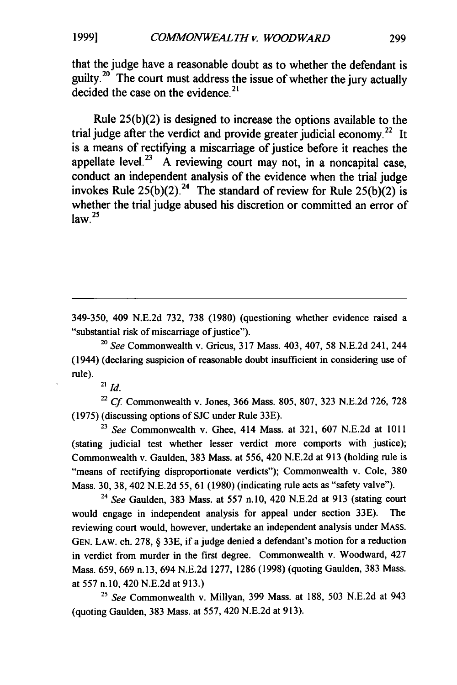**1999l**

that the judge have a reasonable doubt as to whether the defendant is guilty.<sup>20</sup> The court must address the issue of whether the jury actually decided the case on the evidence.<sup>21</sup>

Rule **25(b)(2)** is designed to increase the options available to the trial judge after the verdict and provide greater judicial economy.<sup>22</sup> It is a means of rectifying a miscarriage of justice before it reaches the appellate level.<sup>23</sup> A reviewing court may not, in a noncapital case, conduct an independent analysis of the evidence when the trial judge invokes Rule  $25(b)(2)$ .<sup>24</sup> The standard of review for Rule  $25(b)(2)$  is whether the trial judge abused his discretion or committed an error of  $\int$ **law**.<sup>25</sup>

349-350, 409 N.E.2d 732, 738 (1980) (questioning whether evidence raised a "substantial risk of miscarriage of justice").

<sup>20</sup>*See* Commonwealth v. Gricus, 317 Mass. 403, 407, 58 N.E.2d 241, 244 (1944) (declaring suspicion of reasonable doubt insufficient in considering use of rule).

21 *id.*

<sup>22</sup>*Cf.* Commonwealth v. Jones, 366 Mass. 805, 807, 323 N.E.2d 726, 728 (1975) (discussing options of SJC under Rule 33E).

<sup>23</sup>*See* Commonwealth v. Ghee, 414 Mass. at 321, 607 N.E.2d at 1011 (stating judicial test whether lesser verdict more comports with justice); Commonwealth v. Gaulden, 383 Mass. at 556, 420 N.E.2d at 913 (holding rule is "means of rectifying disproportionate verdicts"); Commonwealth v. Cole, 380 Mass. 30, 38, 402 N.E.2d 55, 61 (1980) (indicating rule acts as "safety valve").

<sup>24</sup>*See* Gaulden, 383 Mass. at 557 n.10, 420 N.E.2d at 913 (stating court would engage in independent analysis for appeal under section 33E). The reviewing court would, however, undertake an independent analysis under MASS. GEN. LAW. ch. 278, § 33E, if a judge denied a defendant's motion for a reduction in verdict from murder in the first degree. Commonwealth v. Woodward, 427 Mass. 659, 669 n.13, 694 N.E.2d 1277, 1286 (1998) (quoting Gaulden, 383 Mass. at 557 n.10, 420 N.E.2d at 913.)

<sup>25</sup>*See* Commonwealth v. Millyan, 399 Mass. at 188, 503 N.E.2d at 943 (quoting Gaulden, 383 Mass. at 557, 420 N.E.2d at 913).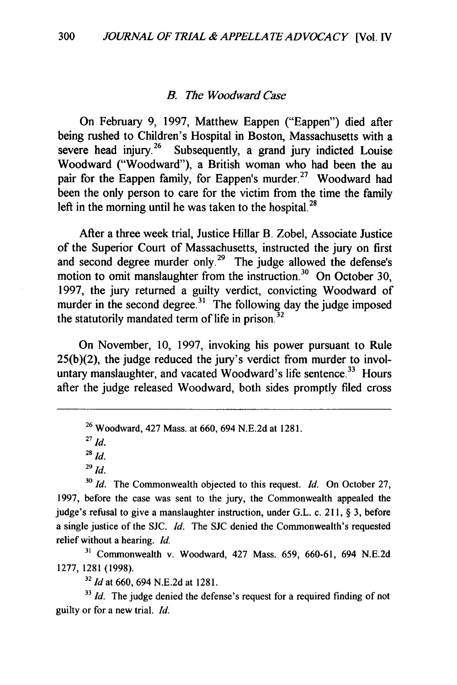#### *B. The Woodward Case*

On February **9, 1997,** Matthew Eappen ("Eappen") died after being rushed to Children's Hospital in Boston, Massachusetts with a severe head injury.<sup>26</sup> Subsequently, a grand jury indicted Louise Woodward ("Woodward"), a British woman who had been the au pair for the Eappen family, for Eappen's murder.<sup>27</sup> Woodward had been the only person to care for the victim from the time the family left in the morning until he was taken to the hospital.<sup>28</sup>

After a three week trial, Justice Hillar B. Zobel, Associate Justice of the Superior Court of Massachusetts, instructed the jury on first and second degree murder only.<sup>29</sup> The judge allowed the defense's motion to omit manslaughter from the instruction.<sup>30</sup> On October 30, **1997,** the jury returned a guilty verdict, convicting Woodward of murder in the second degree.<sup>31</sup> The following day the judge imposed the statutorily mandated term of life in prison. $32$ 

On November, **10, 1997,** invoking his power pursuant to Rule **25(b)(2),** the judge reduced the jury's verdict from murder to involuntary manslaughter, and vacated Woodward's life sentence.<sup>33</sup> Hours after the judge released Woodward, both sides promptly filed cross

**27** *Id.*

<sup>31</sup> Commonwealth v. Woodward, 427 Mass. 659, 660-61, 694 N.E.2d 1277, 1281 (1998).

**<sup>32</sup>***Id* at 660, 694 N.E.2d at 1281.

<sup>33</sup>*Id.* The judge denied the defense's request for a required finding of not guilty or for a new trial. *Id.*

**<sup>26</sup>**Woodward, 427 Mass. at **660,** 694 **N.E.2d** at **1281.**

**<sup>28</sup>***id.*

**<sup>29</sup>** *id.*

**<sup>30</sup>***Id.* The Commonwealth objected to this request. *Id.* On October 27, **1997,** before the case was sent to the jury, the Commonwealth appealed the judge's refusal to give a manslaughter instruction, under G.L. c. 211, § **3,** before a single justice of the SJC. *Id.* The SJC denied the Commonwealth's requested relief without a hearing. *Id.*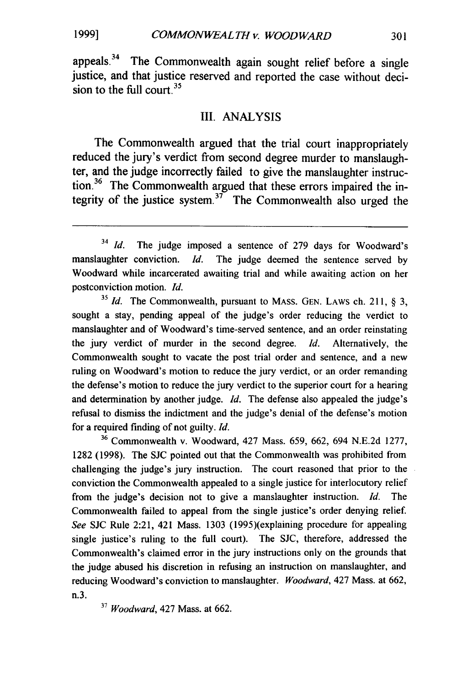*19991*

appeals.<sup>34</sup> The Commonwealth again sought relief before a single justice, and that justice reserved and reported the case without decision to the full court. $35$ 

#### III. ANALYSIS

The Commonwealth argued that the trial court inappropriately reduced the jury's verdict from second degree murder to manslaughter, and the judge incorrectly failed to give the manslaughter instruction.36 The Commonwealth argued that these errors impaired the integrity of the justice system.<sup>37</sup> The Commonwealth also urged the

**<sup>35</sup>***Id.* The Commonwealth, pursuant to MASS. GEN. LAWS ch. 211, § 3, sought a stay, pending appeal of the judge's order reducing the verdict to manslaughter and of Woodward's time-served sentence, and an order reinstating the jury verdict of murder in the second degree. *Id.* Alternatively, the Commonwealth sought to vacate the post trial order and sentence, and a new ruling on Woodward's motion to reduce the jury verdict, or an order remanding the defense's motion to reduce the jury verdict to the superior court for a hearing and determination by another judge. *Id.* The defense also appealed the judge's refusal to dismiss the indictment and the judge's denial of the defense's motion for a required finding of not guilty. *Id.*

**<sup>36</sup>**Commonwealth v. Woodward, 427 Mass. 659, 662, 694 N.E.2d 1277, 1282 (1998). The **SJC** pointed out that the Commonwealth was prohibited from challenging the judge's jury instruction. The court reasoned that prior to the conviction the Commonwealth appealed to a single justice for interlocutory relief from the judge's decision not to give a manslaughter instruction. *Id.* The Commonwealth failed to appeal from the single justice's order denying relief. *See* SJC Rule 2:21, 421 Mass. 1303 (1995)(explaining procedure for appealing single justice's ruling to the full court). The SJC, therefore, addressed the Commonwealth's claimed error in the jury instructions only on the grounds that the judge abused his discretion in refusing an instruction on manslaughter, and reducing Woodward's conviction to manslaughter. *Woodward,* 427 Mass. at 662, n.3.

**<sup>37</sup>***Woodward,* 427 Mass. at **662.**

<sup>&</sup>lt;sup>34</sup> *Id.* The judge imposed a sentence of 279 days for Woodward's manslaughter conviction. *Id.* The judge deemed the sentence served by Woodward while incarcerated awaiting trial and while awaiting action on her postconviction motion. *Id.*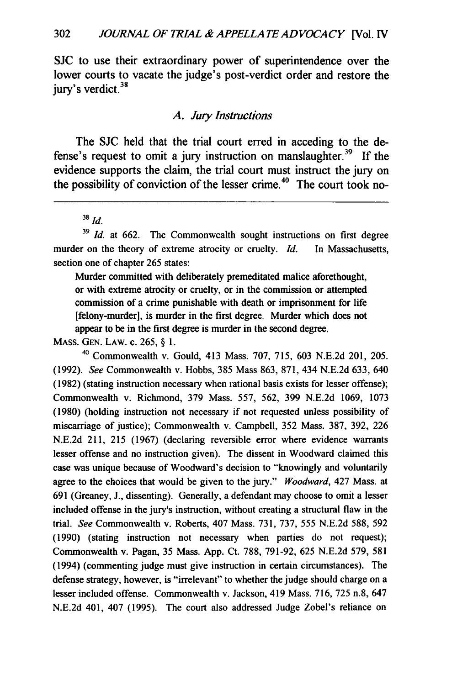**SJC** to use their extraordinary power of superintendence over the lower courts to vacate the judge's post-verdict order and restore the jury's verdict.<sup>38</sup>

#### *A. Jury Instructions*

The **SJC** held that the trial court erred in acceding to the defense's request to omit a jury instruction on manslaughter.<sup>39</sup> If the evidence supports the claim, the trial court must instruct the jury on the possibility of conviction of the lesser crime. <sup>4</sup> 0 **The court took no-**

**<sup>38</sup>***Id.*

<sup>39</sup> Id. at 662. The Commonwealth sought instructions on first degree murder on the theory of extreme atrocity or cruelty. *Id.* In Massachusetts, section one of chapter **265** states:

Murder committed with deliberately premeditated malice aforethought, or with extreme atrocity or cruelty, or in the commission or attempted commission of a crime punishable with death or imprisonment for life [felony-murder], is murder in the first degree. Murder which does not appear to be in the first degree is murder in the second degree.

**MASS. GEN. LAW.** c. 265, § **1.**

<sup>40</sup>Commonwealth v. Gould, 413 Mass. **707, 715, 603 N.E.2d** 201, **205. (1992).** *See* Commonwealth v. Hobbs, **385** Mass **863, 871,** 434 N.E.2d **633,** 640 **(1982)** (stating instruction necessary when rational basis exists for lesser offense); Commonwealth v. Richmond, **379** Mass. **557,** 562, **399 N.E.2d 1069, 1073 (1980)** (holding instruction not necessary if not requested unless possibility of miscarriage of justice); Commonwealth v. Campbell, **352** Mass. **387, 392, 226 N.E.2d** 211, **215 (1967)** (declaring reversible error where evidence warrants lesser offense and no instruction given). The dissent in Woodward claimed this case was unique because of Woodward's decision to "knowingly and voluntarily agree to the choices that would be given to the jury." *Woodward,* 427 Mass. at **691** (Greaney, **J.,** dissenting). Generally, a defendant may choose to omit a lesser included offense in the jury's instruction, without creating a structural flaw in the trial. *See* Commonwealth v. Roberts, 407 Mass. **731, 737,** 555 N.E.2d **588, 592 (1990)** (stating instruction not necessary when parties do not request); Commonwealth v. Pagan, **35** Mass. **App.** Ct. **788, 791-92,** 625 N.E.2d **579, 581** (1994) (commenting judge must give instruction in certain circumstances). The defense strategy, however, is "irrelevant" to whether the judge should charge on a lesser included offense. Commonwealth v. Jackson, 419 Mass. **716, 725** n.8, 647 N.E.2d 401, 407 **(1995).** The court also addressed Judge Zobel's reliance on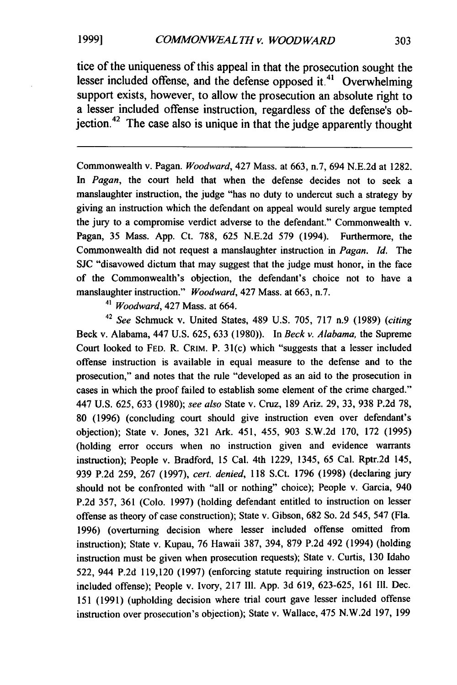tice of the uniqueness of this appeal in that the prosecution sought the lesser included offense, and the defense opposed it.<sup>41</sup> Overwhelming support exists, however, to allow the prosecution an absolute right to a lesser included offense instruction, regardless of the defense's obiection.<sup>42</sup> The case also is unique in that the judge apparently thought

Commonwealth v. Pagan. *Woodward,* 427 Mass. at 663, n.7, 694 N.E.2d at 1282. In *Pagan,* the court held that when the defense decides not to seek a manslaughter instruction, the judge "has no duty to undercut such a strategy by giving an instruction which the defendant on appeal would surely argue tempted the jury to a compromise verdict adverse to the defendant." Commonwealth v. Pagan, 35 Mass. App. Ct. 788, 625 N.E.2d 579 (1994). Furthermore, the Commonwealth did not request a manslaughter instruction in *Pagan. Id.* The SJC "disavowed dictum that may suggest that the judge must honor, in the face of the Commonwealth's objection, the defendant's choice not to have a manslaughter instruction." *Woodward,* 427 Mass. at 663, n.7.

*<sup>41</sup>Woodward,* 427 Mass. at 664.

<sup>42</sup>*See* Schmuck v. United States, 489 U.S. 705, 717 n.9 (1989) (citing Beck v. Alabama, 447 U.S. 625, 633 (1980)). In *Beck v. Alabama,* the Supreme Court looked to FED. R. CRIM. P. 31(c) which "suggests that a lesser included offense instruction is available in equal measure to the defense and to the prosecution," and notes that the rule "developed as an aid to the prosecution in cases in which the proof failed to establish some element of the crime charged." 447 U.S. 625, 633 (1980); *see also* State v. Cruz, 189 Ariz. 29, 33, 938 P.2d 78, 80 (1996) (concluding court should give instruction even over defendant's objection); State v. Jones, 321 Ark. 451, 455, 903 S.W.2d 170, 172 (1995) (holding error occurs when no instruction given and evidence warrants instruction); People v. Bradford, 15 Cal. 4th 1229, 1345, 65 Cal. Rptr.2d 145, 939 P.2d 259, 267 (1997), *cert. denied,* 118 S.Ct. 1796 (1998) (declaring jury should not be confronted with "all or nothing" choice); People v. Garcia, 940 P.2d 357, 361 (Colo. 1997) (holding defendant entitled to instruction on lesser offense as theory of case construction); State v. Gibson, 682 So. 2d 545, 547 (Fla. 1996) (overturning decision where lesser included offense omitted from instruction); State v. Kupau, 76 Hawaii 387, 394, 879 P.2d 492 (1994) (holding instruction must be given when prosecution requests); State v. Curtis, 130 Idaho 522, 944 P.2d 119,120 (1997) (enforcing statute requiring instruction on lesser included offense); People v. Ivory, 217 **I11.** App. 3d 619, 623-625, 161 **I11.** Dec. 151 (1991) (upholding decision where trial court gave lesser included offense instruction over prosecution's objection); State v. Wallace, 475 N.W.2d 197, 199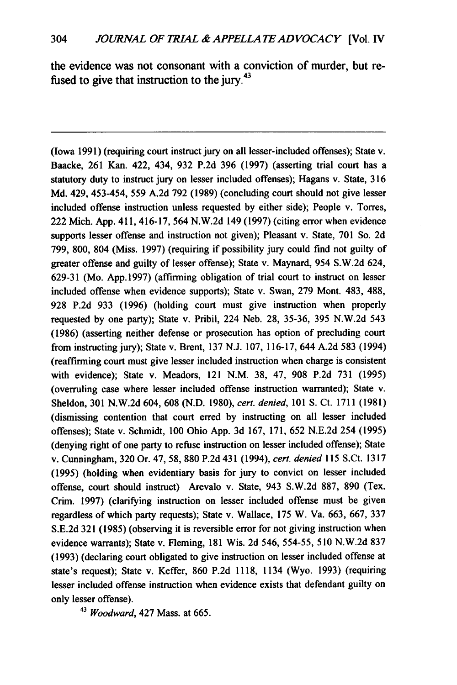the evidence was not consonant with a conviction of murder, but refused to give that instruction to the jury.<sup>43</sup>

(Iowa **1991)** (requiring court instruct jury on all lesser-included offenses); State v. Baacke, **261** Kan. 422, 434, **932 P.2d 396 (1997)** (asserting trial court has a statutory duty to instruct jury on lesser included offenses); Hagans v. State, **316 Md.** 429, 453-454, **559 A.2d 792 (1989)** (concluding court should not give lesser included offense instruction unless requested **by** either side); People v. Torres, 222 Mich. **App.** 411, 416-17, 564 **N.W.2d** 149 **(1997)** (citing error when evidence supports lesser offense and instruction not given); Pleasant v. State, **701** So. **2d 799, 800,** 804 (Miss. **1997)** (requiring if possibility jury could find not guilty of greater offense and guilty of lesser offense); State v. Maynard, 954 **S.W.2d** 624, **629-31** (Mo. **App.1997)** (affirming obligation of trial court to instruct on lesser included offense when evidence supports); State v. Swan, **279** Mont. 483, **488, 928 P.2d 933 (1996)** (holding court must give instruction when properly requested **by** one party); State v. Pribil, 224 Neb. **28, 35-36, 395 N.W.2d** 543 **(1986)** (asserting neither defense or prosecution has option of precluding court from instructing jury); State v. Brent, **137 N.J. 107, 116-17,** 644 **A.2d 583** (1994) (reaffirming court must give lesser included instruction when charge is consistent with evidence); State v. Meadors, 121 **N.M. 38,** 47, **908 P.2d 731 (1995)** (overruling case where lesser included offense instruction warranted); State v. Sheldon, **301 N.W.2d** 604, **608 (N.D. 1980),** cert. denied, **101 S.** Ct. **1711 (1981)** (dismissing contention that court **erred by** instructing on all lesser included offenses); State v. Schmidt, **100** Ohio **App. 3d 167, 171, 652 N.E.2d** 254 **(1995)** (denying right of one party to refuse instruction on lesser included offense); State v. Cunningham, **320** Or. 47, **58, 880 P.2d** 431 (1994), cert. *denied* **115** S.Ct. **1317 (1995)** (holding when evidentiary basis for jury to convict on lesser included offense, court should instruct) Arevalo v. State, 943 **S.W.2d 887, 890** (Tex. Crim. **1997)** (clarifying instruction on lesser included offense must be given regardless of which party requests); State v. Wallace, **175** W. Va. **663, 667, 337 S.E.2d 321 (1985)** (observing it is reversible error for not giving instruction when evidence warrants); State v. Fleming, **181** Wis. **2d** 546, **554-55, 510 N.W.2d 837 (1993)** (declaring court obligated to give instruction on lesser included offense at state's request); State v. Keffer, **860 P.2d 1118,** 1134 (Wyo. **1993)** (requiring lesser included offense instruction when evidence exists that defendant guilty on only lesser offense).

**43** *Woodward,* 427 Mass. at **665.**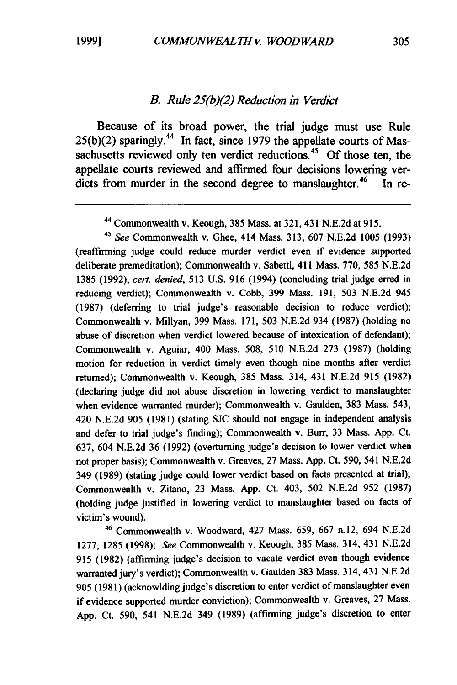# *B. Rule 25(b)(2) Reduction in Verdict*

Because of its broad power, the trial judge must use Rule **25(b)(2)** sparingly." In fact, since **1979** the appellate courts of Massachusetts reviewed only ten verdict reductions.<sup>45</sup> Of those ten, the appellate courts reviewed and affirmed four decisions lowering verdicts from murder in the second degree to manslaughter.<sup>46</sup> In re-

*<sup>45</sup>*See Commonwealth v. Ghee, 414 Mass. **313, 607 N.E.2d 1005 (1993)** (reaffirming judge could reduce murder verdict even if evidence supported deliberate premeditation); Commonwealth v. Sabetti, 411 Mass. **770, 585 N.E.2d 1385 (1992),** cert. denied, **513 U.S. 916** (1994) (concluding trial judge **erred** in reducing verdict); Commonwealth v. Cobb, **399** Mass. **191, 503 N.E.2d** 945 **(1987)** (deferring to trial judge's reasonable decision to reduce verdict); Commonwealth v. Millyan, **399** Mass. **171, 503 N.E.2d** 934 **(1987)** (holding no abuse of discretion when verdict lowered because of intoxication of defendant); Commonwealth v. Aguiar, 400 Mass. **508, 510** N.E.2d **273 (1987)** (holding motion for reduction in verdict timely even though nine months after verdict returned); Commonwealth v. Keough, **385** Mass. 314, 431 **N.E.2d 915 (1982)** (declaring judge did not abuse discretion in lowering verdict to manslaughter when evidence warranted murder); Commonwealth v. Gaulden, **383** Mass. 543, 420 **N.E.2d 905 (1981)** (stating **SJC** should not engage in independent analysis and defer to trial judge's finding); Commonwealth v. Burr, **33** Mass. **App.** Ct. **637,** 604 **N.E.2d 36 (1992)** (overturning judge's decision to lower verdict when not proper basis); Commonwealth v. Greaves, **27** Mass. **App.** Ct. **590,** 541 **N.E.2d** 349 **(1989)** (stating judge could lower verdict based on facts presented at trial); Commonwealth v. Zitano, **23** Mass. **App.** Ct. 403, **502 N.E.2d 952 (1987)** (holding judge justified in lowering verdict to manslaughter based on facts of victim's wound).

<sup>46</sup>Commonwealth v. Woodward, 427 Mass. **659, 667** n.12, 694 **N.E.2d 1277, 1285 (1998);** See Commonwealth v. Keough, **385** Mass. 314, 431 **N.E.2d 915 (1982)** (affirming judge's decision to vacate verdict even though evidence warranted jury's verdict); Commonwealth v. Gaulden **383** Mass. 314, 431 **N.E.2d 905 (1981)** (acknowlding judge's discretion to enter verdict of manslaughter even if evidence supported murder conviction); Commonwealth v. Greaves, **27** Mass. **App.** Ct. **590,** 541 **N.E.2d** 349 **(1989)** (affirming judge's discretion to enter

**<sup>44</sup>**Commonwealth v. Keough, **385** Mass. at **321,** 431 **N.E.2d** at **915.**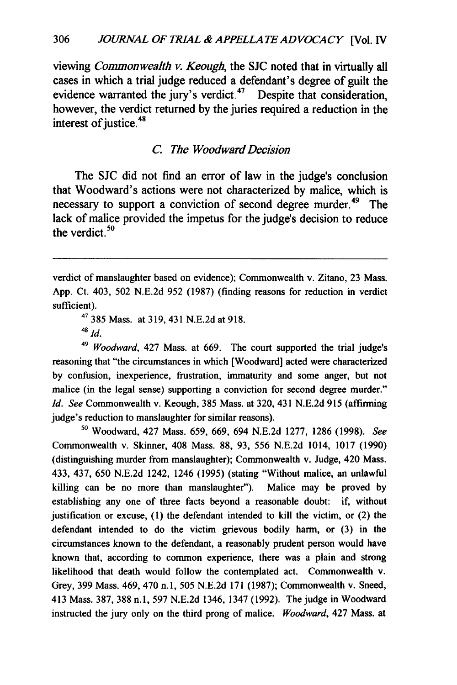viewing *Commonwealth v. Keough,* the **SJC** noted that in virtually all cases in which a trial judge reduced a defendant's degree of guilt the evidence warranted the jury's verdict. $47$  Despite that consideration, however, the verdict returned **by** the juries required a reduction in the interest of justice.<sup>48</sup>

## *C. The Woodward Decision*

The **SJC** did not find an error of law in the judge's conclusion that Woodward's actions were not characterized **by** malice, which is necessary to support a conviction of second degree murder.<sup>49</sup> The lack of malice provided the impetus for the judge's decision to reduce the verdict $50$ 

verdict of manslaughter based on evidence); Commonwealth v. Zitano, 23 Mass. App. Ct. 403, 502 N.E.2d 952 (1987) (finding reasons for reduction in verdict sufficient).

4' 385 Mass. at 319, 431 N.E.2d at 918.

<sup>48</sup>*Id.*

*<sup>49</sup>Woodward,* 427 Mass. at **669.** The court supported the trial judge's reasoning that "the circumstances in which [Woodward] acted were characterized **by** confusion, inexperience, frustration, immaturity and some anger, but not malice (in the legal sense) supporting a conviction for second degree murder." *Id. See* Commonwealth v. Keough, **385** Mass. at **320,** 431 **N.E.2d 915** (affirming judge's reduction to manslaughter for similar reasons).

**<sup>50</sup>**Woodward, 427 Mass. **659, 669,** 694 **N.E.2d 1277, 1286 (1998).** *See* Commonwealth v. Skinner, 408 Mass. **88, 93, 556 N.E.2d** 1014, **1017 (1990)** (distinguishing murder from manslaughter); Commonwealth v. Judge, 420 Mass. 433, 437, **650 N.E.2d** 1242, 1246 **(1995)** (stating "Without malice, an unlawful killing can be no more than manslaughter"). Malice may be proved **by** establishing any one of three facts beyond a reasonable doubt: if, without justification or excuse, **(1)** the defendant intended to kill the victim, or (2) the defendant intended to do the victim grievous bodily harm, or **(3)** in the circumstances known to the defendant, a reasonably prudent person would have known that, according to common experience, there was a plain and strong likelihood that death would follow the contemplated act. Commonwealth v. Grey, **399** Mass. 469, 470 **n. 1, 505 N.E.2d 171 (1987);** Commonwealth v. Sneed, 413 Mass. **387, 388 n.l, 597 N.E.2d** 1346, 1347 **(1992).** The judge in Woodward instructed the jury only on the third prong of malice. *Woodward,* 427 Mass. at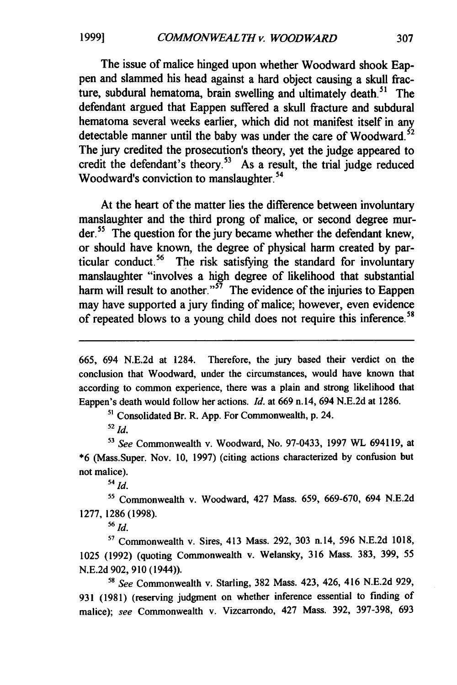**1999]**

The issue of malice hinged upon whether Woodward shook Eappen and slammed his head against a hard object causing a skull fracture, subdural hematoma, brain swelling and ultimately death.<sup>51</sup> The defendant argued that Eappen suffered a skull fracture and subdural hematoma several weeks earlier, which did not manifest itself in any detectable manner until the baby was under the care of Woodward.<sup> $52$ </sup> The jury credited the prosecution's theory, yet the judge appeared to credit the defendant's theory.<sup>53</sup> As a result, the trial judge reduced Woodward's conviction to manslaughter.<sup>54</sup>

At the heart of the matter lies the difference between involuntary manslaughter and the third prong of malice, or second degree murder.<sup>55</sup> The question for the jury became whether the defendant knew, or should have known, the degree of physical harm created **by** particular conduct.<sup>56</sup> The risk satisfying the standard for involuntary manslaughter "involves a high degree of likelihood that substantial harm will result to another."<sup>57</sup> The evidence of the injuries to Eappen may have supported a jury finding of malice; however, even evidence of repeated blows to a young child does not require this inference.<sup>5</sup>

**5'** Consolidated Br. R. **App.** For Commonwealth, **p.** 24.

<sup>52</sup>*Id.*

**<sup>53</sup>***See* Commonwealth v. Woodward, No. **97-0433, 1997** WL 694119, at **\*6** (Mass.Super. Nov. **10, 1997)** (citing actions characterized **by** confusion but not malice).

**<sup>54</sup>***id.*

**'5** Commonwealth v. Woodward, 427 Mass. 659, 669-670, 694 N.E.2d 1277, 1286 **(1998).**

<sup>56</sup>*Id.*

**57** Commonwealth v. Sires, 413 Mass. 292, **303** n.14, **596** N.E.2d 1018, **1025 (1992)** (quoting Commonwealth v. Welansky, 316 Mass. 383, **399, 55 N.E.2d 902, 910** (1944)).

**<sup>58</sup>***See* Commonwealth v. Starling, 382 Mass. 423, 426, 416 N.E.2d **929, 931** (1981) (reserving judgment on whether inference essential to finding of malice); see Commonwealth v. Vizcarrondo, 427 Mass. 392, 397-398, **693**

**<sup>665,</sup>** 694 **N.E.2d** at 1284. Therefore, the jury based their verdict on the conclusion that Woodward, under the circumstances, would have known that according to common experience, there was a plain and strong likelihood that Eappen's death would follow her actions. *Id.* at **669** n. 14, 694 **N.E.2d** at **1286.**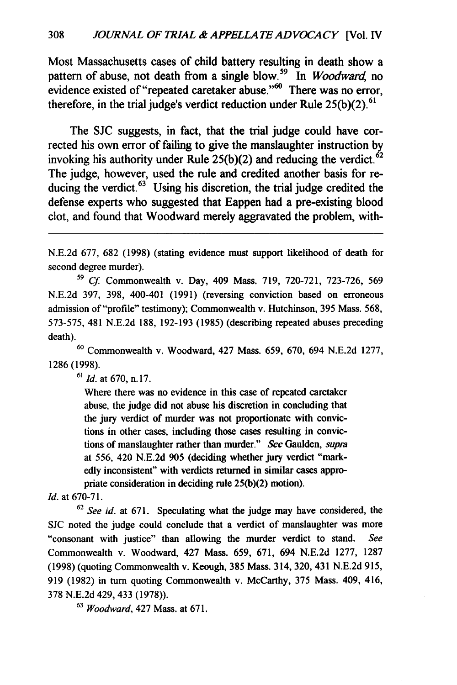Most Massachusetts cases of child battery resulting in death show a pattern of abuse, not death from a single blow.<sup>59</sup> In *Woodward*, no evidence existed of "repeated caretaker abuse."<sup>60</sup> There was no error, therefore, in the trial judge's verdict reduction under Rule **25(b)(2). <sup>6</sup> '**

The **SJC** suggests, in fact, that the trial judge could have corrected his own error of failing to give the manslaughter instruction **by** invoking his authority under Rule  $25(b)(2)$  and reducing the verdict.<sup> $62$ </sup> The judge, however, used the rule and credited another basis for reducing the verdict. $63$  Using his discretion, the trial judge credited the defense experts who suggested that Eappen had a pre-existing blood clot, and found that Woodward merely aggravated the problem, with-

**N.E.2d 677, 682 (1998)** (stating evidence must support likelihood of death for second degree murder).

5 *Cf* Commonwealth v. Day, 409 Mass. **719, 720-721, 723-726, 569 N.E.2d 397, 398,** 400-401 **(1991)** (reversing conviction based on erroneous admission of "profile" testimony); Commonwealth v. Hutchinson, **395** Mass. **568, 573-575,** 481 **N.E.2d 188, 192-193 (1985)** (describing repeated abuses preceding death).

**<sup>60</sup>**Commonwealth v. Woodward, 427 Mass. **659, 670,** 694 **N.E.2d 1277, 1286 (1998).**

**<sup>61</sup>***Id.* at **670, n.17.**

Where there was no evidence in this case of repeated caretaker abuse, the judge did not abuse his discretion in concluding that the jury verdict of murder was not proportionate with convictions in other cases, including those cases resulting in convictions of manslaughter rather than murder." **See** Gaulden, *supra* at **556,** 420 **N.E.2d 905** (deciding whether jury verdict "mark**edly** inconsistent" with verdicts returned in similar cases appropriate consideration in deciding rule **25(b)(2)** motion).

**Id.** at **670-71.**

**<sup>62</sup>***See id.* at **671.** Speculating what the judge may have considered, the **SJC** noted the judge could conclude that a verdict of manslaughter was more "consonant with justice" than allowing the murder verdict to stand. *See* Commonwealth v. Woodward, 427 Mass. **659, 671,** 694 **N.E.2d 1277, 1287 (1998)** (quoting Commonwealth v. Keough, **385** Mass. 314, **320,** 431 **N.E.2d 915, 919 (1982)** in turn quoting Commonwealth v. McCarthy, **375** Mass. 409, 416, **378 N.E.2d** 429, 433 **(1978)).**

**63** *Woodward,* 427 Mass. at **671.**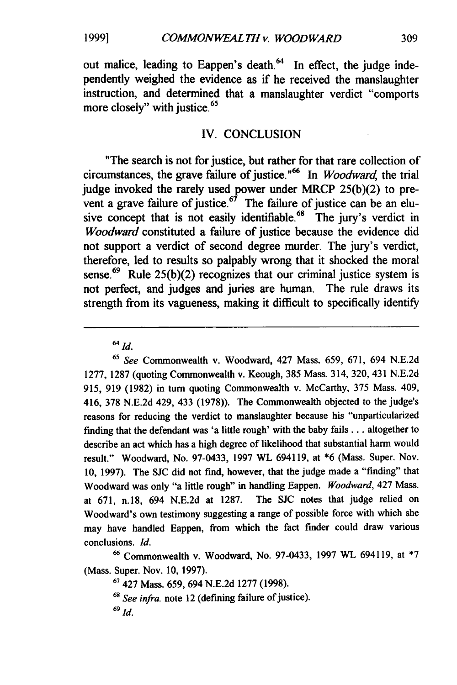**1999]**

out malice, leading to Eappen's death.<sup>64</sup> In effect, the judge independently weighed the evidence as if he received the manslaughter instruction, and determined that a manslaughter verdict "comports more closely" with justice.<sup>65</sup>

#### IV. **CONCLUSION**

"The search is not for justice, but rather for that rare collection of circumstances, the grave failure of justice."<sup>66</sup> In *Woodward*, the trial judge invoked the rarely used power under **MRCP 25(b)(2)** to prevent a grave failure of justice.<sup> $67$ </sup> The failure of justice can be an elusive concept that is not easily identifiable.<sup>68</sup> The jury's verdict in *Woodward* constituted a failure of justice because the evidence did not support a verdict of second degree murder. The jury's verdict, therefore, led to results so palpably wrong that it shocked the moral sense.<sup>69</sup> Rule 25(b)(2) recognizes that our criminal justice system is not perfect, and judges and juries are human. The rule draws its strength from its vagueness, making it difficult to specifically identify

<sup>65</sup>*See* Commonwealth v. Woodward, 427 Mass. **659, 671,** 694 **N.E.2d 1277, 1287** (quoting Commonwealth v. Keough, **385** Mass. 314, **320,** 431 **N.E.2d 915, 919 (1982)** in turn quoting Commonwealth v. McCarthy, **375** Mass. 409, 416, **378 N.E.2d** 429, 433 **(1978)).** The Commonwealth objected to the judge's reasons for reducing the verdict to manslaughter because his "unparticularized finding that the defendant was 'a little rough' with the baby fails **...** altogether to describe an act which has a high degree of likelihood that substantial harm would result." Woodward, No. **97-0433, 1997** WL 694119, at **\*6** (Mass. Super. Nov. **10, 1997).** The **SJC** did not find, however, that the judge made a "finding" that Woodward was only "a little rough" in handling Eappen. *Woodward,* 427 Mass. at **671,** n.18, 694 **N.E.2d** at **1287.** The **SJC** notes that judge relied on Woodward's own testimony suggesting a range of possible force with which she may have handled Eappen, from which the fact finder could draw various conclusions. *Id.*

**<sup>66</sup>**Commonwealth v. Woodward, No. **97-0433, 1997** WL 694119, at **\*7** (Mass. Super. Nov. **10, 1997).**

**<sup>67</sup>**427 Mass. **659,** 694 **N.E.2d 1277 (1998).**

**<sup>68</sup>***See infra.* note 12 (defining failure of justice).

<sup>64</sup>*Id.*

 $^{69}$   $Id.$